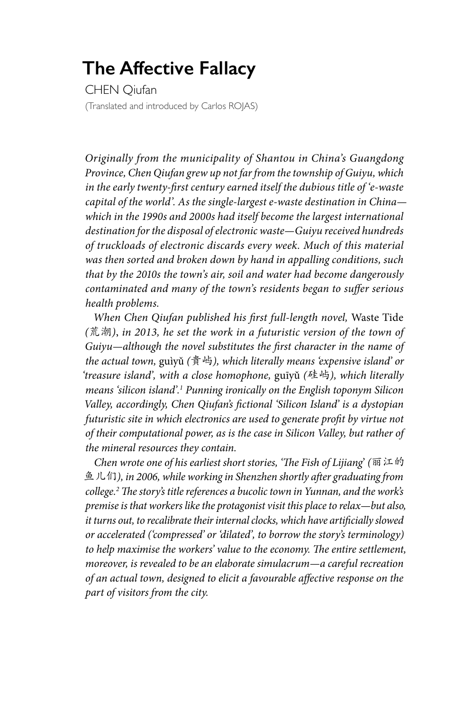## **The Affective Fallacy**

CHEN Qiufan (Translated and introduced by Carlos ROJAS)

*Originally from the municipality of Shantou in China's Guangdong Province, Chen Qiufan grew up not far from the township of Guiyu, which in the early twenty-first century earned itself the dubious title of 'e-waste capital of the world'. As the single-largest e-waste destination in China which in the 1990s and 2000s had itself become the largest international destination for the disposal of electronic waste—Guiyu received hundreds of truckloads of electronic discards every week. Much of this material was then sorted and broken down by hand in appalling conditions, such that by the 2010s the town's air, soil and water had become dangerously contaminated and many of the town's residents began to suffer serious health problems.*

*When Chen Qiufan published his first full-length novel,* Waste Tide *(*荒潮*)*, *in 2013, he set the work in a futuristic version of the town of Guiyu—although the novel substitutes the first character in the name of the actual town,* guìyǔ *(*貴屿*), which literally means 'expensive island' or 'treasure island', with a close homophone,* guīyǔ *(*硅屿*), which literally means 'silicon island'.1 Punning ironically on the English toponym Silicon Valley, accordingly, Chen Qiufan's fictional 'Silicon Island' is a dystopian futuristic site in which electronics are used to generate profit by virtue not of their computational power, as is the case in Silicon Valley, but rather of the mineral resources they contain.*

*Chen wrote one of his earliest short stories, 'The Fish of Lijiang*' *(*丽江的 鱼儿们*), in 2006, while working in Shenzhen shortly after graduating from college.2 The story's title references a bucolic town in Yunnan, and the work's premise is that workers like the protagonist visit this place to relax—but also, it turns out, to recalibrate their internal clocks, which have artificially slowed or accelerated ('compressed' or 'dilated', to borrow the story's terminology) to help maximise the workers' value to the economy. The entire settlement, moreover, is revealed to be an elaborate simulacrum—a careful recreation of an actual town, designed to elicit a favourable affective response on the part of visitors from the city.*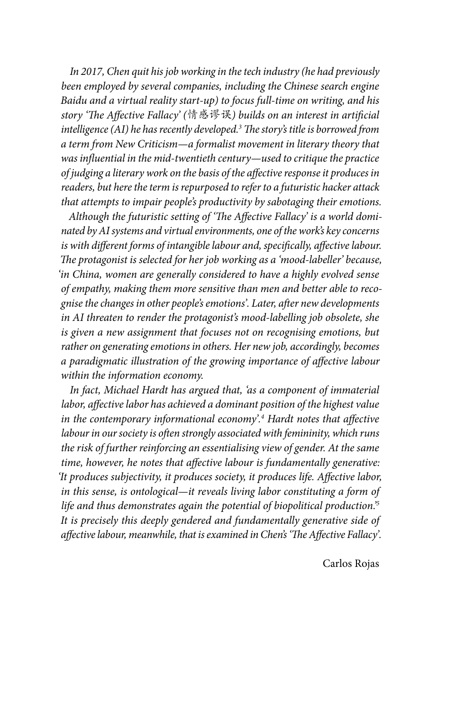*In 2017, Chen quit his job working in the tech industry (he had previously been employed by several companies, including the Chinese search engine Baidu and a virtual reality start-up) to focus full-time on writing, and his story 'The Affective Fallacy' (*情感谬误*) builds on an interest in artificial intelligence (AI) he has recently developed.3 The story's title is borrowed from a term from New Criticism—a formalist movement in literary theory that was influential in the mid-twentieth century—used to critique the practice of judging a literary work on the basis of the affective response it produces in readers, but here the term is repurposed to refer to a futuristic hacker attack that attempts to impair people's productivity by sabotaging their emotions.* 

*Although the futuristic setting of 'The Affective Fallacy' is a world dominated by AI systems and virtual environments, one of the work's key concerns is with different forms of intangible labour and, specifically, affective labour. The protagonist is selected for her job working as a 'mood-labeller' because, 'in China, women are generally considered to have a highly evolved sense of empathy, making them more sensitive than men and better able to recognise the changes in other people's emotions'. Later, after new developments in AI threaten to render the protagonist's mood-labelling job obsolete, she is given a new assignment that focuses not on recognising emotions, but rather on generating emotions in others. Her new job, accordingly, becomes a paradigmatic illustration of the growing importance of affective labour within the information economy.* 

*In fact, Michael Hardt has argued that, 'as a component of immaterial labor, affective labor has achieved a dominant position of the highest value in the contemporary informational economy'.4 Hardt notes that affective labour in our society is often strongly associated with femininity, which runs the risk of further reinforcing an essentialising view of gender. At the same time, however, he notes that affective labour is fundamentally generative: 'It produces subjectivity, it produces society, it produces life. Affective labor, in this sense, is ontological—it reveals living labor constituting a form of life and thus demonstrates again the potential of biopolitical production.'5 It is precisely this deeply gendered and fundamentally generative side of affective labour, meanwhile, that is examined in Chen's 'The Affective Fallacy'.*

Carlos Rojas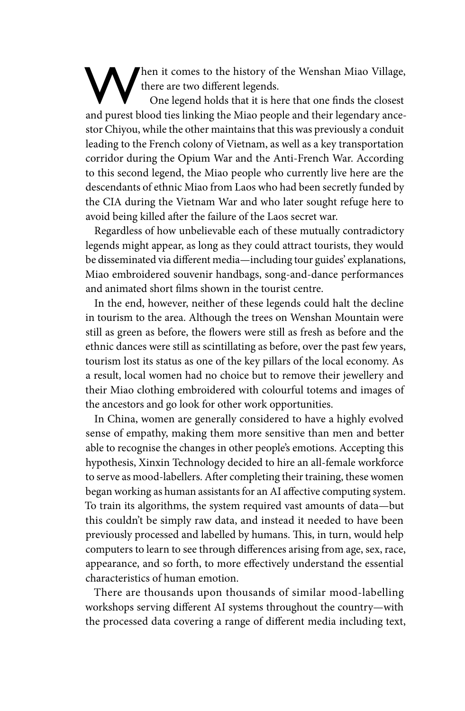hen it comes to the history of the Wenshan Miao Village, there are two different legends.

One legend holds that it is here that one finds the closest and purest blood ties linking the Miao people and their legendary ancestor Chiyou, while the other maintains that this was previously a conduit leading to the French colony of Vietnam, as well as a key transportation corridor during the Opium War and the Anti-French War. According to this second legend, the Miao people who currently live here are the descendants of ethnic Miao from Laos who had been secretly funded by the CIA during the Vietnam War and who later sought refuge here to avoid being killed after the failure of the Laos secret war.

Regardless of how unbelievable each of these mutually contradictory legends might appear, as long as they could attract tourists, they would be disseminated via different media—including tour guides' explanations, Miao embroidered souvenir handbags, song-and-dance performances and animated short films shown in the tourist centre.

In the end, however, neither of these legends could halt the decline in tourism to the area. Although the trees on Wenshan Mountain were still as green as before, the flowers were still as fresh as before and the ethnic dances were still as scintillating as before, over the past few years, tourism lost its status as one of the key pillars of the local economy. As a result, local women had no choice but to remove their jewellery and their Miao clothing embroidered with colourful totems and images of the ancestors and go look for other work opportunities.

In China, women are generally considered to have a highly evolved sense of empathy, making them more sensitive than men and better able to recognise the changes in other people's emotions. Accepting this hypothesis, Xinxin Technology decided to hire an all-female workforce to serve as mood-labellers. After completing their training, these women began working as human assistants for an AI affective computing system. To train its algorithms, the system required vast amounts of data—but this couldn't be simply raw data, and instead it needed to have been previously processed and labelled by humans. This, in turn, would help computers to learn to see through differences arising from age, sex, race, appearance, and so forth, to more effectively understand the essential characteristics of human emotion.

There are thousands upon thousands of similar mood-labelling workshops serving different AI systems throughout the country—with the processed data covering a range of different media including text,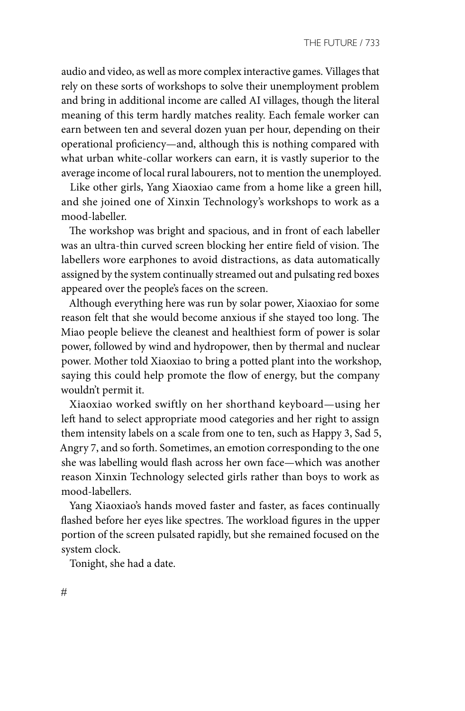audio and video, as well as more complex interactive games. Villages that rely on these sorts of workshops to solve their unemployment problem and bring in additional income are called AI villages, though the literal meaning of this term hardly matches reality. Each female worker can earn between ten and several dozen yuan per hour, depending on their operational proficiency—and, although this is nothing compared with what urban white-collar workers can earn, it is vastly superior to the average income of local rural labourers, not to mention the unemployed.

Like other girls, Yang Xiaoxiao came from a home like a green hill, and she joined one of Xinxin Technology's workshops to work as a mood-labeller.

The workshop was bright and spacious, and in front of each labeller was an ultra-thin curved screen blocking her entire field of vision. The labellers wore earphones to avoid distractions, as data automatically assigned by the system continually streamed out and pulsating red boxes appeared over the people's faces on the screen.

Although everything here was run by solar power, Xiaoxiao for some reason felt that she would become anxious if she stayed too long. The Miao people believe the cleanest and healthiest form of power is solar power, followed by wind and hydropower, then by thermal and nuclear power. Mother told Xiaoxiao to bring a potted plant into the workshop, saying this could help promote the flow of energy, but the company wouldn't permit it.

Xiaoxiao worked swiftly on her shorthand keyboard—using her left hand to select appropriate mood categories and her right to assign them intensity labels on a scale from one to ten, such as Happy 3, Sad 5, Angry 7, and so forth. Sometimes, an emotion corresponding to the one she was labelling would flash across her own face—which was another reason Xinxin Technology selected girls rather than boys to work as mood-labellers.

Yang Xiaoxiao's hands moved faster and faster, as faces continually flashed before her eyes like spectres. The workload figures in the upper portion of the screen pulsated rapidly, but she remained focused on the system clock.

Tonight, she had a date.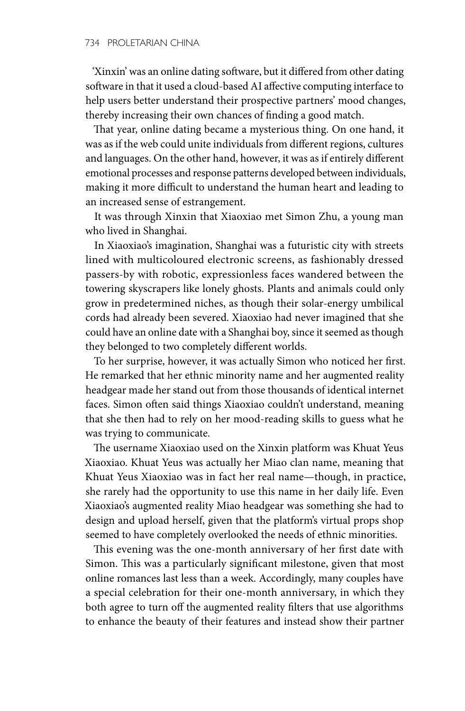'Xinxin' was an online dating software, but it differed from other dating software in that it used a cloud-based AI affective computing interface to help users better understand their prospective partners' mood changes, thereby increasing their own chances of finding a good match.

That year, online dating became a mysterious thing. On one hand, it was as if the web could unite individuals from different regions, cultures and languages. On the other hand, however, it was as if entirely different emotional processes and response patterns developed between individuals, making it more difficult to understand the human heart and leading to an increased sense of estrangement.

It was through Xinxin that Xiaoxiao met Simon Zhu, a young man who lived in Shanghai.

In Xiaoxiao's imagination, Shanghai was a futuristic city with streets lined with multicoloured electronic screens, as fashionably dressed passers-by with robotic, expressionless faces wandered between the towering skyscrapers like lonely ghosts. Plants and animals could only grow in predetermined niches, as though their solar-energy umbilical cords had already been severed. Xiaoxiao had never imagined that she could have an online date with a Shanghai boy, since it seemed as though they belonged to two completely different worlds.

To her surprise, however, it was actually Simon who noticed her first. He remarked that her ethnic minority name and her augmented reality headgear made her stand out from those thousands of identical internet faces. Simon often said things Xiaoxiao couldn't understand, meaning that she then had to rely on her mood-reading skills to guess what he was trying to communicate.

The username Xiaoxiao used on the Xinxin platform was Khuat Yeus Xiaoxiao. Khuat Yeus was actually her Miao clan name, meaning that Khuat Yeus Xiaoxiao was in fact her real name—though, in practice, she rarely had the opportunity to use this name in her daily life. Even Xiaoxiao's augmented reality Miao headgear was something she had to design and upload herself, given that the platform's virtual props shop seemed to have completely overlooked the needs of ethnic minorities.

This evening was the one-month anniversary of her first date with Simon. This was a particularly significant milestone, given that most online romances last less than a week. Accordingly, many couples have a special celebration for their one-month anniversary, in which they both agree to turn off the augmented reality filters that use algorithms to enhance the beauty of their features and instead show their partner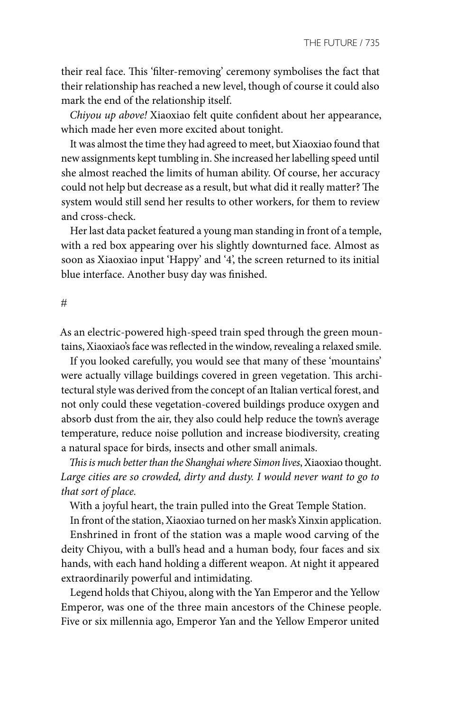their real face. This 'filter-removing' ceremony symbolises the fact that their relationship has reached a new level, though of course it could also mark the end of the relationship itself.

*Chiyou up above!* Xiaoxiao felt quite confident about her appearance, which made her even more excited about tonight.

It was almost the time they had agreed to meet, but Xiaoxiao found that new assignments kept tumbling in. She increased her labelling speed until she almost reached the limits of human ability. Of course, her accuracy could not help but decrease as a result, but what did it really matter? The system would still send her results to other workers, for them to review and cross-check.

Her last data packet featured a young man standing in front of a temple, with a red box appearing over his slightly downturned face. Almost as soon as Xiaoxiao input 'Happy' and '4', the screen returned to its initial blue interface. Another busy day was finished.

```
#
```
As an electric-powered high-speed train sped through the green mountains, Xiaoxiao's face was reflected in the window, revealing a relaxed smile.

If you looked carefully, you would see that many of these 'mountains' were actually village buildings covered in green vegetation. This architectural style was derived from the concept of an Italian vertical forest, and not only could these vegetation-covered buildings produce oxygen and absorb dust from the air, they also could help reduce the town's average temperature, reduce noise pollution and increase biodiversity, creating a natural space for birds, insects and other small animals.

*This is much better than the Shanghai where Simon lives*, Xiaoxiao thought. *Large cities are so crowded, dirty and dusty. I would never want to go to that sort of place.* 

With a joyful heart, the train pulled into the Great Temple Station.

In front of the station, Xiaoxiao turned on her mask's Xinxin application.

Enshrined in front of the station was a maple wood carving of the deity Chiyou, with a bull's head and a human body, four faces and six hands, with each hand holding a different weapon. At night it appeared extraordinarily powerful and intimidating.

Legend holds that Chiyou, along with the Yan Emperor and the Yellow Emperor, was one of the three main ancestors of the Chinese people. Five or six millennia ago, Emperor Yan and the Yellow Emperor united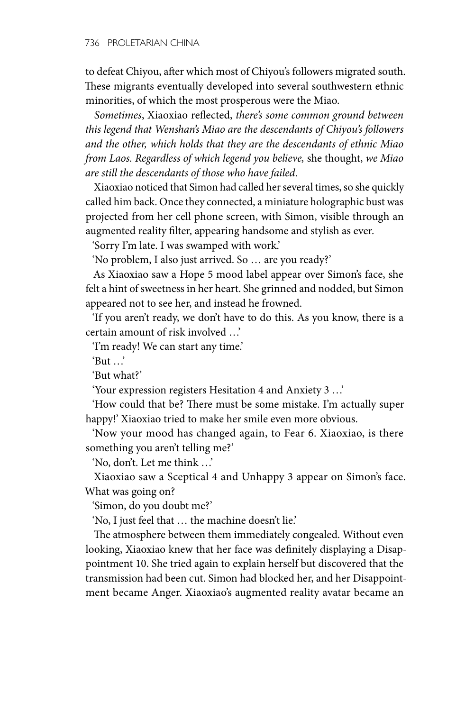to defeat Chiyou, after which most of Chiyou's followers migrated south. These migrants eventually developed into several southwestern ethnic minorities, of which the most prosperous were the Miao.

*Sometimes*, Xiaoxiao reflected, *there's some common ground between this legend that Wenshan's Miao are the descendants of Chiyou's followers and the other, which holds that they are the descendants of ethnic Miao from Laos. Regardless of which legend you believe,* she thought, *we Miao are still the descendants of those who have failed*.

Xiaoxiao noticed that Simon had called her several times, so she quickly called him back. Once they connected, a miniature holographic bust was projected from her cell phone screen, with Simon, visible through an augmented reality filter, appearing handsome and stylish as ever.

'Sorry I'm late. I was swamped with work.'

'No problem, I also just arrived. So … are you ready?'

As Xiaoxiao saw a Hope 5 mood label appear over Simon's face, she felt a hint of sweetness in her heart. She grinned and nodded, but Simon appeared not to see her, and instead he frowned.

'If you aren't ready, we don't have to do this. As you know, there is a certain amount of risk involved …'

'I'm ready! We can start any time.'

 $'$ But  $'$ 

'But what?'

'Your expression registers Hesitation 4 and Anxiety 3 …'

'How could that be? There must be some mistake. I'm actually super happy!' Xiaoxiao tried to make her smile even more obvious.

'Now your mood has changed again, to Fear 6. Xiaoxiao, is there something you aren't telling me?'

'No, don't. Let me think …'

Xiaoxiao saw a Sceptical 4 and Unhappy 3 appear on Simon's face. What was going on?

'Simon, do you doubt me?'

'No, I just feel that … the machine doesn't lie.'

The atmosphere between them immediately congealed. Without even looking, Xiaoxiao knew that her face was definitely displaying a Disappointment 10. She tried again to explain herself but discovered that the transmission had been cut. Simon had blocked her, and her Disappointment became Anger. Xiaoxiao's augmented reality avatar became an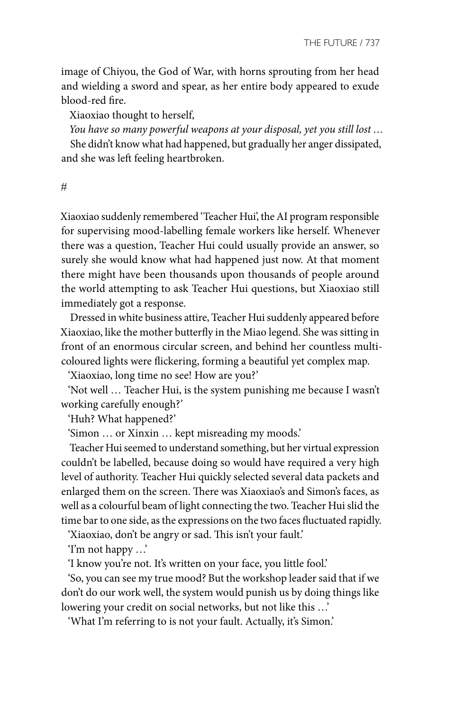image of Chiyou, the God of War, with horns sprouting from her head and wielding a sword and spear, as her entire body appeared to exude blood-red fire.

Xiaoxiao thought to herself,

*You have so many powerful weapons at your disposal, yet you still lost …*

She didn't know what had happened, but gradually her anger dissipated, and she was left feeling heartbroken.

#

Xiaoxiao suddenly remembered 'Teacher Hui', the AI program responsible for supervising mood-labelling female workers like herself. Whenever there was a question, Teacher Hui could usually provide an answer, so surely she would know what had happened just now. At that moment there might have been thousands upon thousands of people around the world attempting to ask Teacher Hui questions, but Xiaoxiao still immediately got a response.

Dressed in white business attire, Teacher Hui suddenly appeared before Xiaoxiao, like the mother butterfly in the Miao legend. She was sitting in front of an enormous circular screen, and behind her countless multicoloured lights were flickering, forming a beautiful yet complex map.

'Xiaoxiao, long time no see! How are you?'

'Not well … Teacher Hui, is the system punishing me because I wasn't working carefully enough?'

'Huh? What happened?'

'Simon … or Xinxin … kept misreading my moods.'

Teacher Hui seemed to understand something, but her virtual expression couldn't be labelled, because doing so would have required a very high level of authority. Teacher Hui quickly selected several data packets and enlarged them on the screen. There was Xiaoxiao's and Simon's faces, as well as a colourful beam of light connecting the two. Teacher Hui slid the time bar to one side, as the expressions on the two faces fluctuated rapidly.

'Xiaoxiao, don't be angry or sad. This isn't your fault.'

'I'm not happy …'

'I know you're not. It's written on your face, you little fool.'

'So, you can see my true mood? But the workshop leader said that if we don't do our work well, the system would punish us by doing things like lowering your credit on social networks, but not like this …'

'What I'm referring to is not your fault. Actually, it's Simon.'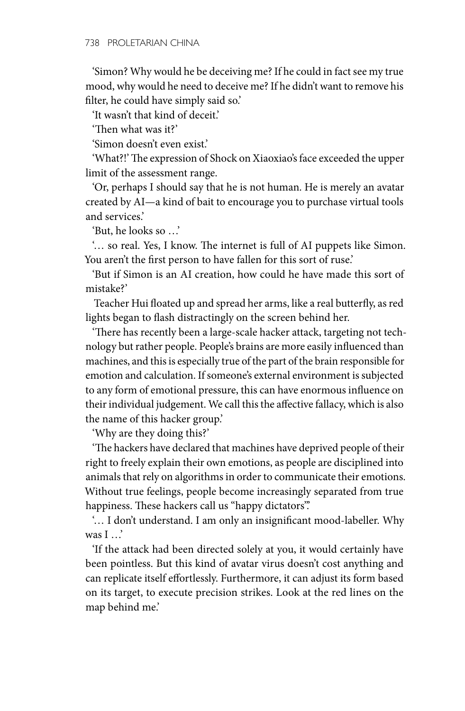'Simon? Why would he be deceiving me? If he could in fact see my true mood, why would he need to deceive me? If he didn't want to remove his filter, he could have simply said so.'

'It wasn't that kind of deceit.'

'Then what was it?'

'Simon doesn't even exist.'

'What?!' The expression of Shock on Xiaoxiao's face exceeded the upper limit of the assessment range.

'Or, perhaps I should say that he is not human. He is merely an avatar created by AI—a kind of bait to encourage you to purchase virtual tools and services.'

'But, he looks so …'

'… so real. Yes, I know. The internet is full of AI puppets like Simon. You aren't the first person to have fallen for this sort of ruse.'

'But if Simon is an AI creation, how could he have made this sort of mistake?'

Teacher Hui floated up and spread her arms, like a real butterfly, as red lights began to flash distractingly on the screen behind her.

'There has recently been a large-scale hacker attack, targeting not technology but rather people. People's brains are more easily influenced than machines, and this is especially true of the part of the brain responsible for emotion and calculation. If someone's external environment is subjected to any form of emotional pressure, this can have enormous influence on their individual judgement. We call this the affective fallacy, which is also the name of this hacker group.'

'Why are they doing this?'

'The hackers have declared that machines have deprived people of their right to freely explain their own emotions, as people are disciplined into animals that rely on algorithms in order to communicate their emotions. Without true feelings, people become increasingly separated from true happiness. These hackers call us "happy dictators".

'… I don't understand. I am only an insignificant mood-labeller. Why was I …'

'If the attack had been directed solely at you, it would certainly have been pointless. But this kind of avatar virus doesn't cost anything and can replicate itself effortlessly. Furthermore, it can adjust its form based on its target, to execute precision strikes. Look at the red lines on the map behind me.'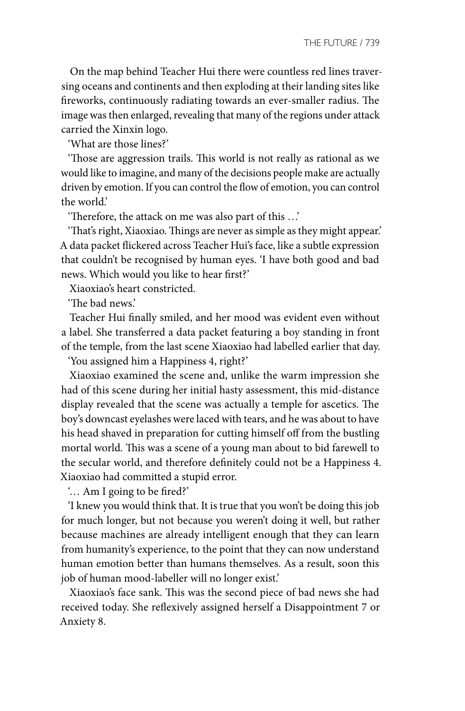On the map behind Teacher Hui there were countless red lines traversing oceans and continents and then exploding at their landing sites like fireworks, continuously radiating towards an ever-smaller radius. The image was then enlarged, revealing that many of the regions under attack carried the Xinxin logo.

'What are those lines?'

'Those are aggression trails. This world is not really as rational as we would like to imagine, and many of the decisions people make are actually driven by emotion. If you can control the flow of emotion, you can control the world.'

'Therefore, the attack on me was also part of this …'

'That's right, Xiaoxiao. Things are never as simple as they might appear.' A data packet flickered across Teacher Hui's face, like a subtle expression that couldn't be recognised by human eyes. 'I have both good and bad news. Which would you like to hear first?'

Xiaoxiao's heart constricted.

'The bad news.'

Teacher Hui finally smiled, and her mood was evident even without a label. She transferred a data packet featuring a boy standing in front of the temple, from the last scene Xiaoxiao had labelled earlier that day.

'You assigned him a Happiness 4, right?'

Xiaoxiao examined the scene and, unlike the warm impression she had of this scene during her initial hasty assessment, this mid-distance display revealed that the scene was actually a temple for ascetics. The boy's downcast eyelashes were laced with tears, and he was about to have his head shaved in preparation for cutting himself off from the bustling mortal world. This was a scene of a young man about to bid farewell to the secular world, and therefore definitely could not be a Happiness 4. Xiaoxiao had committed a stupid error.

'… Am I going to be fired?'

'I knew you would think that. It is true that you won't be doing this job for much longer, but not because you weren't doing it well, but rather because machines are already intelligent enough that they can learn from humanity's experience, to the point that they can now understand human emotion better than humans themselves. As a result, soon this job of human mood-labeller will no longer exist.'

Xiaoxiao's face sank. This was the second piece of bad news she had received today. She reflexively assigned herself a Disappointment 7 or Anxiety 8.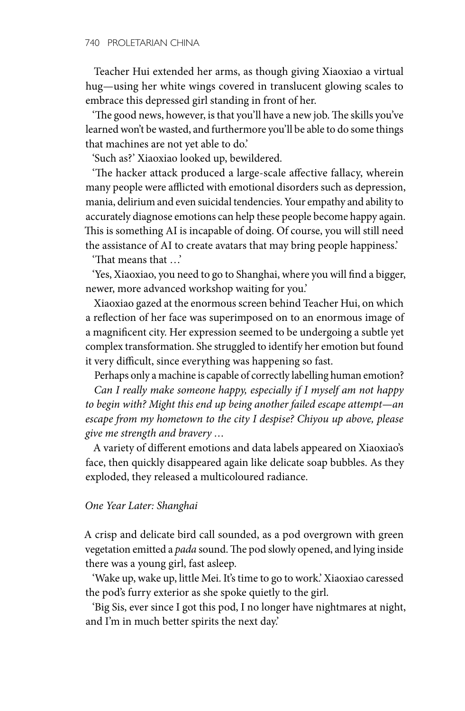Teacher Hui extended her arms, as though giving Xiaoxiao a virtual hug—using her white wings covered in translucent glowing scales to embrace this depressed girl standing in front of her.

'The good news, however, is that you'll have a new job. The skills you've learned won't be wasted, and furthermore you'll be able to do some things that machines are not yet able to do.'

'Such as?' Xiaoxiao looked up, bewildered.

'The hacker attack produced a large-scale affective fallacy, wherein many people were afflicted with emotional disorders such as depression, mania, delirium and even suicidal tendencies. Your empathy and ability to accurately diagnose emotions can help these people become happy again. This is something AI is incapable of doing. Of course, you will still need the assistance of AI to create avatars that may bring people happiness.'

'That means that …'

'Yes, Xiaoxiao, you need to go to Shanghai, where you will find a bigger, newer, more advanced workshop waiting for you.'

Xiaoxiao gazed at the enormous screen behind Teacher Hui, on which a reflection of her face was superimposed on to an enormous image of a magnificent city. Her expression seemed to be undergoing a subtle yet complex transformation. She struggled to identify her emotion but found it very difficult, since everything was happening so fast.

Perhaps only a machine is capable of correctly labelling human emotion? *Can I really make someone happy, especially if I myself am not happy to begin with? Might this end up being another failed escape attempt—an escape from my hometown to the city I despise? Chiyou up above, please* 

*give me strength and bravery …*

A variety of different emotions and data labels appeared on Xiaoxiao's face, then quickly disappeared again like delicate soap bubbles. As they exploded, they released a multicoloured radiance.

## *One Year Later: Shanghai*

A crisp and delicate bird call sounded, as a pod overgrown with green vegetation emitted a *pada* sound. The pod slowly opened, and lying inside there was a young girl, fast asleep.

'Wake up, wake up, little Mei. It's time to go to work.' Xiaoxiao caressed the pod's furry exterior as she spoke quietly to the girl.

'Big Sis, ever since I got this pod, I no longer have nightmares at night, and I'm in much better spirits the next day.'